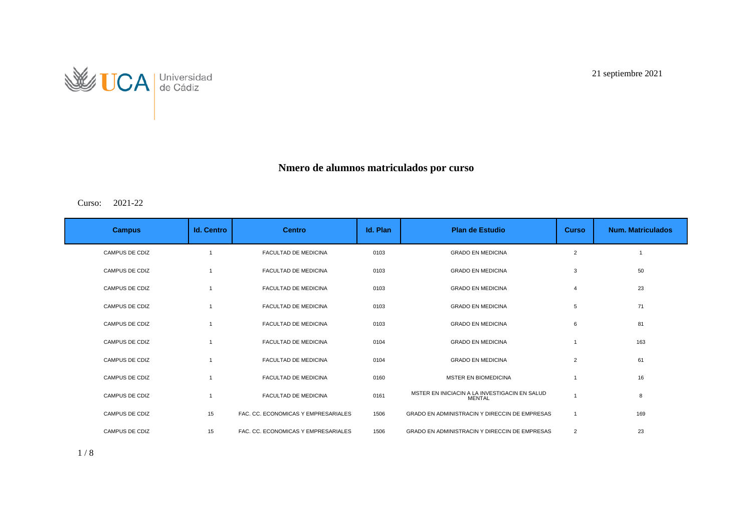21 septiembre 2021



## **N mero de alumnos matriculados por curso**

Curso: 2021-22

| <b>Campus</b>         | <b>Id. Centro</b> | <b>Centro</b>                       | Id. Plan | <b>Plan de Estudio</b>                                         | <b>Curso</b>   | <b>Num. Matriculados</b> |
|-----------------------|-------------------|-------------------------------------|----------|----------------------------------------------------------------|----------------|--------------------------|
| <b>CAMPUS DE CDIZ</b> |                   | <b>FACULTAD DE MEDICINA</b>         | 0103     | <b>GRADO EN MEDICINA</b>                                       | $\overline{2}$ |                          |
| <b>CAMPUS DE CDIZ</b> |                   | <b>FACULTAD DE MEDICINA</b>         | 0103     | <b>GRADO EN MEDICINA</b>                                       | 3              | 50                       |
| <b>CAMPUS DE CDIZ</b> |                   | <b>FACULTAD DE MEDICINA</b>         | 0103     | <b>GRADO EN MEDICINA</b>                                       | $\overline{4}$ | 23                       |
| CAMPUS DE CDIZ        |                   | <b>FACULTAD DE MEDICINA</b>         | 0103     | <b>GRADO EN MEDICINA</b>                                       | 5              | 71                       |
| <b>CAMPUS DE CDIZ</b> |                   | <b>FACULTAD DE MEDICINA</b>         | 0103     | <b>GRADO EN MEDICINA</b>                                       | 6              | 81                       |
| <b>CAMPUS DE CDIZ</b> |                   | <b>FACULTAD DE MEDICINA</b>         | 0104     | <b>GRADO EN MEDICINA</b>                                       |                | 163                      |
| <b>CAMPUS DE CDIZ</b> |                   | <b>FACULTAD DE MEDICINA</b>         | 0104     | <b>GRADO EN MEDICINA</b>                                       | 2              | 61                       |
| <b>CAMPUS DE CDIZ</b> |                   | <b>FACULTAD DE MEDICINA</b>         | 0160     | <b>MSTER EN BIOMEDICINA</b>                                    |                | 16                       |
| <b>CAMPUS DE CDIZ</b> |                   | <b>FACULTAD DE MEDICINA</b>         | 0161     | MSTER EN INICIACIN A LA INVESTIGACIN EN SALUD<br><b>MENTAL</b> |                | 8                        |
| <b>CAMPUS DE CDIZ</b> | 15                | FAC. CC. ECONOMICAS Y EMPRESARIALES | 1506     | GRADO EN ADMINISTRACIN Y DIRECCIN DE EMPRESAS                  | $\overline{1}$ | 169                      |
| <b>CAMPUS DE CDIZ</b> | 15                | FAC. CC. ECONOMICAS Y EMPRESARIALES | 1506     | <b>GRADO EN ADMINISTRACIN Y DIRECCIN DE EMPRESAS</b>           | 2              | 23                       |

1 / 8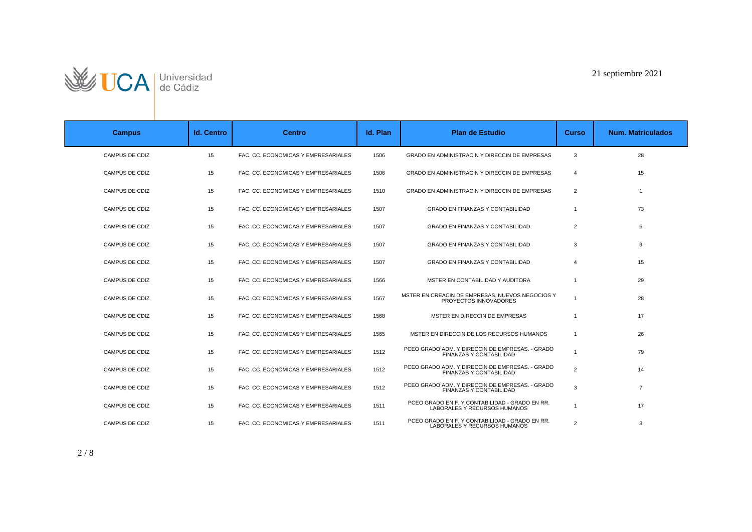



| <b>Campus</b>         | <b>Id. Centro</b> | <b>Centro</b>                       | Id. Plan | <b>Plan de Estudio</b>                                                            | <b>Curso</b>   | <b>Num. Matriculados</b> |
|-----------------------|-------------------|-------------------------------------|----------|-----------------------------------------------------------------------------------|----------------|--------------------------|
| <b>CAMPUS DE CDIZ</b> | 15                | FAC. CC. ECONOMICAS Y EMPRESARIALES | 1506     | <b>GRADO EN ADMINISTRACIN Y DIRECCIN DE EMPRESAS</b>                              | 3              | 28                       |
| <b>CAMPUS DE CDIZ</b> | 15                | FAC. CC. ECONOMICAS Y EMPRESARIALES | 1506     | GRADO EN ADMINISTRACIN Y DIRECCIN DE EMPRESAS                                     | $\overline{4}$ | 15                       |
| CAMPUS DE CDIZ        | 15                | FAC. CC. ECONOMICAS Y EMPRESARIALES | 1510     | GRADO EN ADMINISTRACIN Y DIRECCIN DE EMPRESAS                                     | $\overline{2}$ | $\mathbf{1}$             |
| <b>CAMPUS DE CDIZ</b> | 15                | FAC. CC. ECONOMICAS Y EMPRESARIALES | 1507     | <b>GRADO EN FINANZAS Y CONTABILIDAD</b>                                           | $\overline{1}$ | 73                       |
| <b>CAMPUS DE CDIZ</b> | 15                | FAC. CC. ECONOMICAS Y EMPRESARIALES | 1507     | <b>GRADO EN FINANZAS Y CONTABILIDAD</b>                                           | 2              | 6                        |
| <b>CAMPUS DE CDIZ</b> | 15                | FAC. CC. ECONOMICAS Y EMPRESARIALES | 1507     | <b>GRADO EN FINANZAS Y CONTABILIDAD</b>                                           | 3              | 9                        |
| CAMPUS DE CDIZ        | 15                | FAC. CC. ECONOMICAS Y EMPRESARIALES | 1507     | <b>GRADO EN FINANZAS Y CONTABILIDAD</b>                                           | $\overline{4}$ | 15                       |
| CAMPUS DE CDIZ        | 15                | FAC. CC. ECONOMICAS Y EMPRESARIALES | 1566     | MSTER EN CONTABILIDAD Y AUDITORA                                                  | $\overline{1}$ | 29                       |
| CAMPUS DE CDIZ        | 15                | FAC. CC. ECONOMICAS Y EMPRESARIALES | 1567     | MSTER EN CREACIN DE EMPRESAS. NUEVOS NEGOCIOS Y<br>PROYECTOS INNOVADORES          | $\overline{1}$ | 28                       |
| CAMPUS DE CDIZ        | 15                | FAC. CC. ECONOMICAS Y EMPRESARIALES | 1568     | MSTER EN DIRECCIN DE EMPRESAS                                                     | $\overline{1}$ | 17                       |
| <b>CAMPUS DE CDIZ</b> | 15                | FAC. CC. ECONOMICAS Y EMPRESARIALES | 1565     | MSTER EN DIRECCIN DE LOS RECURSOS HUMANOS                                         | $\overline{1}$ | 26                       |
| <b>CAMPUS DE CDIZ</b> | 15                | FAC. CC. ECONOMICAS Y EMPRESARIALES | 1512     | PCEO GRADO ADM. Y DIRECCIN DE EMPRESAS. - GRADO<br><b>FINANZAS Y CONTABILIDAD</b> | $\overline{1}$ | 79                       |
| <b>CAMPUS DE CDIZ</b> | 15                | FAC. CC. ECONOMICAS Y EMPRESARIALES | 1512     | PCEO GRADO ADM. Y DIRECCIN DE EMPRESAS. - GRADO<br>FINANZAS Y CONTABILIDAD        | $\overline{2}$ | 14                       |
| <b>CAMPUS DE CDIZ</b> | 15                | FAC. CC. ECONOMICAS Y EMPRESARIALES | 1512     | PCEO GRADO ADM. Y DIRECCIN DE EMPRESAS. - GRADO<br>FINANZAS Y CONTABILIDAD        | 3              | $\overline{7}$           |
| <b>CAMPUS DE CDIZ</b> | 15                | FAC. CC. ECONOMICAS Y EMPRESARIALES | 1511     | PCEO GRADO EN F. Y CONTABILIDAD - GRADO EN RR.<br>LABORALES Y RECURSOS HUMANOS    | $\overline{1}$ | 17                       |
| <b>CAMPUS DE CDIZ</b> | 15                | FAC. CC. ECONOMICAS Y EMPRESARIALES | 1511     | PCEO GRADO EN F. Y CONTABILIDAD - GRADO EN RR.<br>LABORALES Y RECURSOS HUMANOS    | $\overline{2}$ | 3                        |

 $2/8$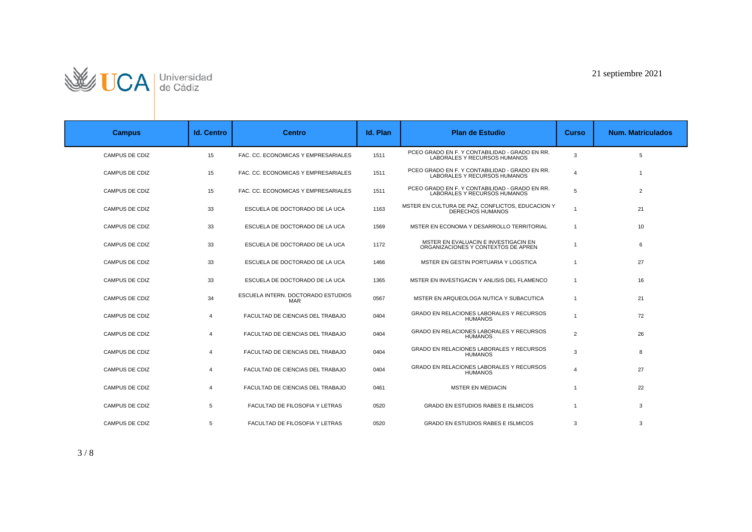

| <b>Campus</b>         | <b>Id. Centro</b> | <b>Centro</b>                                    | Id. Plan | <b>Plan de Estudio</b>                                                         | Curso          | <b>Num. Matriculados</b> |
|-----------------------|-------------------|--------------------------------------------------|----------|--------------------------------------------------------------------------------|----------------|--------------------------|
| CAMPUS DE CDIZ        | 15                | FAC. CC. ECONOMICAS Y EMPRESARIALES              | 1511     | PCEO GRADO EN F. Y CONTABILIDAD - GRADO EN RR.<br>LABORALES Y RECURSOS HUMANOS | 3              | 5                        |
| CAMPUS DE CDIZ        | 15                | FAC. CC. ECONOMICAS Y EMPRESARIALES              | 1511     | PCEO GRADO EN F. Y CONTABILIDAD - GRADO EN RR.<br>LABORALES Y RECURSOS HUMANOS | $\overline{4}$ | $\mathbf{1}$             |
| <b>CAMPUS DE CDIZ</b> | 15                | FAC. CC. ECONOMICAS Y EMPRESARIALES              | 1511     | PCEO GRADO EN F. Y CONTABILIDAD - GRADO EN RR.<br>LABORALES Y RECURSOS HUMANOS | 5              | $\overline{2}$           |
| CAMPUS DE CDIZ        | 33                | ESCUELA DE DOCTORADO DE LA UCA                   | 1163     | MSTER EN CULTURA DE PAZ. CONFLICTOS. EDUCACION Y<br><b>DERECHOS HUMANOS</b>    | $\overline{1}$ | 21                       |
| <b>CAMPUS DE CDIZ</b> | 33                | ESCUELA DE DOCTORADO DE LA UCA                   | 1569     | MSTER EN ECONOMA Y DESARROLLO TERRITORIAL                                      | $\overline{1}$ | 10                       |
| <b>CAMPUS DE CDIZ</b> | 33                | ESCUELA DE DOCTORADO DE LA UCA                   | 1172     | MSTER EN EVALUACIN E INVESTIGACIN EN<br>ORGANIZACIONES Y CONTEXTOS DE APREN    | $\overline{1}$ | 6                        |
| CAMPUS DE CDIZ        | 33                | ESCUELA DE DOCTORADO DE LA UCA                   | 1466     | MSTER EN GESTIN PORTUARIA Y LOGSTICA                                           | -1             | 27                       |
| <b>CAMPUS DE CDIZ</b> | 33                | ESCUELA DE DOCTORADO DE LA UCA                   | 1365     | MSTER EN INVESTIGACIN Y ANLISIS DEL FLAMENCO                                   | $\overline{1}$ | 16                       |
| <b>CAMPUS DE CDIZ</b> | 34                | ESCUELA INTERN, DOCTORADO ESTUDIOS<br><b>MAR</b> | 0567     | MSTER EN ARQUEOLOGA NUTICA Y SUBACUTICA                                        | $\overline{1}$ | 21                       |
| <b>CAMPUS DE CDIZ</b> | $\overline{4}$    | FACULTAD DE CIENCIAS DEL TRABAJO                 | 0404     | GRADO EN RELACIONES LABORALES Y RECURSOS<br><b>HUMANOS</b>                     | $\overline{1}$ | 72                       |
| <b>CAMPUS DE CDIZ</b> | $\overline{4}$    | FACULTAD DE CIENCIAS DEL TRABAJO                 | 0404     | GRADO EN RELACIONES LABORALES Y RECURSOS<br><b>HUMANOS</b>                     | $\overline{2}$ | 26                       |
| CAMPUS DE CDIZ        | $\overline{4}$    | FACULTAD DE CIENCIAS DEL TRABAJO                 | 0404     | GRADO EN RELACIONES LABORALES Y RECURSOS<br><b>HUMANOS</b>                     | 3              | 8                        |
| <b>CAMPUS DE CDIZ</b> | $\overline{4}$    | FACULTAD DE CIENCIAS DEL TRABAJO                 | 0404     | <b>GRADO EN RELACIONES LABORALES Y RECURSOS</b><br><b>HUMANOS</b>              | $\overline{4}$ | 27                       |
| <b>CAMPUS DE CDIZ</b> | $\overline{4}$    | FACULTAD DE CIENCIAS DEL TRABAJO                 | 0461     | <b>MSTER EN MEDIACIN</b>                                                       | $\overline{1}$ | 22                       |
| <b>CAMPUS DE CDIZ</b> | 5                 | FACULTAD DE FILOSOFIA Y LETRAS                   | 0520     | <b>GRADO EN ESTUDIOS RABES E ISLMICOS</b>                                      | $\overline{1}$ | 3                        |
| <b>CAMPUS DE CDIZ</b> | 5                 | FACULTAD DE FILOSOFIA Y LETRAS                   | 0520     | <b>GRADO EN ESTUDIOS RABES E ISLMICOS</b>                                      | 3              | 3                        |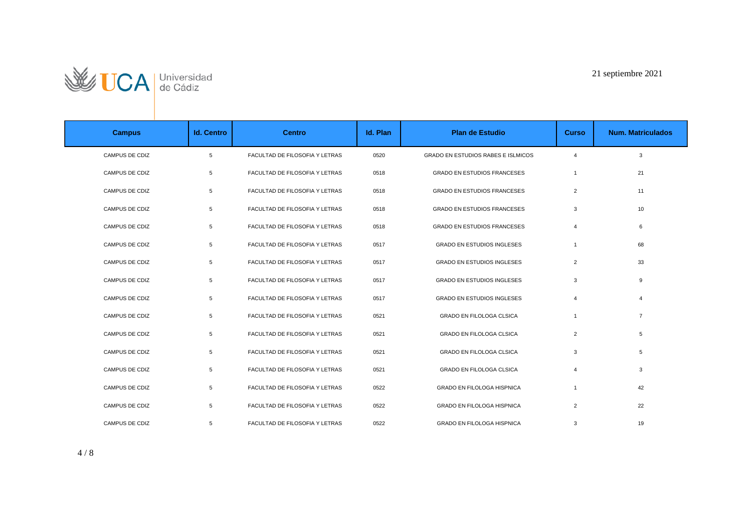



| <b>Campus</b>         | <b>Id. Centro</b> | <b>Centro</b>                  | Id. Plan | <b>Plan de Estudio</b>                    | <b>Curso</b>   | <b>Num. Matriculados</b> |
|-----------------------|-------------------|--------------------------------|----------|-------------------------------------------|----------------|--------------------------|
| <b>CAMPUS DE CDIZ</b> | 5                 | FACULTAD DE FILOSOFIA Y LETRAS | 0520     | <b>GRADO EN ESTUDIOS RABES E ISLMICOS</b> | $\overline{4}$ | 3                        |
| <b>CAMPUS DE CDIZ</b> | 5                 | FACULTAD DE FILOSOFIA Y LETRAS | 0518     | <b>GRADO EN ESTUDIOS FRANCESES</b>        | $\mathbf{1}$   | 21                       |
| <b>CAMPUS DE CDIZ</b> | 5                 | FACULTAD DE FILOSOFIA Y LETRAS | 0518     | <b>GRADO EN ESTUDIOS FRANCESES</b>        | $\overline{2}$ | 11                       |
| <b>CAMPUS DE CDIZ</b> | 5                 | FACULTAD DE FILOSOFIA Y LETRAS | 0518     | <b>GRADO EN ESTUDIOS FRANCESES</b>        | 3              | 10                       |
| <b>CAMPUS DE CDIZ</b> | 5                 | FACULTAD DE FILOSOFIA Y LETRAS | 0518     | <b>GRADO EN ESTUDIOS FRANCESES</b>        | $\overline{4}$ | 6                        |
| <b>CAMPUS DE CDIZ</b> | 5                 | FACULTAD DE FILOSOFIA Y LETRAS | 0517     | <b>GRADO EN ESTUDIOS INGLESES</b>         | $\overline{1}$ | 68                       |
| <b>CAMPUS DE CDIZ</b> | 5                 | FACULTAD DE FILOSOFIA Y LETRAS | 0517     | <b>GRADO EN ESTUDIOS INGLESES</b>         | 2              | 33                       |
| <b>CAMPUS DE CDIZ</b> | 5                 | FACULTAD DE FILOSOFIA Y LETRAS | 0517     | <b>GRADO EN ESTUDIOS INGLESES</b>         | 3              | 9                        |
| <b>CAMPUS DE CDIZ</b> | 5                 | FACULTAD DE FILOSOFIA Y LETRAS | 0517     | <b>GRADO EN ESTUDIOS INGLESES</b>         | $\overline{4}$ | $\overline{4}$           |
| <b>CAMPUS DE CDIZ</b> | 5                 | FACULTAD DE FILOSOFIA Y LETRAS | 0521     | <b>GRADO EN FILOLOGA CLSICA</b>           | $\mathbf{1}$   | $\overline{7}$           |
| <b>CAMPUS DE CDIZ</b> | 5                 | FACULTAD DE FILOSOFIA Y LETRAS | 0521     | <b>GRADO EN FILOLOGA CLSICA</b>           | 2              | 5                        |
| <b>CAMPUS DE CDIZ</b> | 5                 | FACULTAD DE FILOSOFIA Y LETRAS | 0521     | <b>GRADO EN FILOLOGA CLSICA</b>           | 3              | 5                        |
| <b>CAMPUS DE CDIZ</b> | 5                 | FACULTAD DE FILOSOFIA Y LETRAS | 0521     | <b>GRADO EN FILOLOGA CLSICA</b>           | 4              | 3                        |
| <b>CAMPUS DE CDIZ</b> | 5                 | FACULTAD DE FILOSOFIA Y LETRAS | 0522     | <b>GRADO EN FILOLOGA HISPNICA</b>         | $\mathbf{1}$   | 42                       |
| <b>CAMPUS DE CDIZ</b> | 5                 | FACULTAD DE FILOSOFIA Y LETRAS | 0522     | <b>GRADO EN FILOLOGA HISPNICA</b>         | 2              | 22                       |
| <b>CAMPUS DE CDIZ</b> | 5                 | FACULTAD DE FILOSOFIA Y LETRAS | 0522     | <b>GRADO EN FILOLOGA HISPNICA</b>         | 3              | 19                       |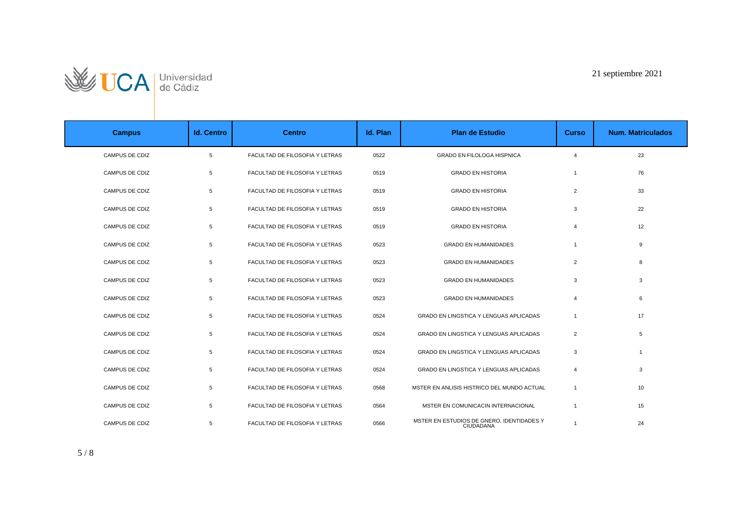

## 21 septiembre 2021

| <b>Campus</b>         | <b>Id. Centro</b> | <b>Centro</b>                  | Id. Plan | <b>Plan de Estudio</b>                                 | <b>Curso</b>   | <b>Num. Matriculados</b> |
|-----------------------|-------------------|--------------------------------|----------|--------------------------------------------------------|----------------|--------------------------|
| <b>CAMPUS DE CDIZ</b> | 5                 | FACULTAD DE FILOSOFIA Y LETRAS | 0522     | <b>GRADO EN FILOLOGA HISPNICA</b>                      | $\overline{4}$ | 23                       |
| <b>CAMPUS DE CDIZ</b> | 5                 | FACULTAD DE FILOSOFIA Y LETRAS | 0519     | <b>GRADO EN HISTORIA</b>                               | $\mathbf{1}$   | 76                       |
| CAMPUS DE CDIZ        | 5                 | FACULTAD DE FILOSOFIA Y LETRAS | 0519     | <b>GRADO EN HISTORIA</b>                               | $\overline{2}$ | 33                       |
| CAMPUS DE CDIZ        | 5                 | FACULTAD DE FILOSOFIA Y LETRAS | 0519     | <b>GRADO EN HISTORIA</b>                               | 3              | 22                       |
| CAMPUS DE CDIZ        | 5                 | FACULTAD DE FILOSOFIA Y LETRAS | 0519     | <b>GRADO EN HISTORIA</b>                               | $\overline{4}$ | 12                       |
| CAMPUS DE CDIZ        | 5                 | FACULTAD DE FILOSOFIA Y LETRAS | 0523     | <b>GRADO EN HUMANIDADES</b>                            | $\overline{1}$ | 9                        |
| <b>CAMPUS DE CDIZ</b> | 5                 | FACULTAD DE FILOSOFIA Y LETRAS | 0523     | <b>GRADO EN HUMANIDADES</b>                            | $\overline{2}$ | 8                        |
| <b>CAMPUS DE CDIZ</b> | 5                 | FACULTAD DE FILOSOFIA Y LETRAS | 0523     | <b>GRADO EN HUMANIDADES</b>                            | 3              | 3                        |
| CAMPUS DE CDIZ        | 5                 | FACULTAD DE FILOSOFIA Y LETRAS | 0523     | <b>GRADO EN HUMANIDADES</b>                            | $\overline{4}$ | 6                        |
| CAMPUS DE CDIZ        | 5                 | FACULTAD DE FILOSOFIA Y LETRAS | 0524     | <b>GRADO EN LINGSTICA Y LENGUAS APLICADAS</b>          | $\overline{1}$ | 17                       |
| <b>CAMPUS DE CDIZ</b> | 5                 | FACULTAD DE FILOSOFIA Y LETRAS | 0524     | <b>GRADO EN LINGSTICA Y LENGUAS APLICADAS</b>          | $\overline{2}$ | 5                        |
| <b>CAMPUS DE CDIZ</b> | 5                 | FACULTAD DE FILOSOFIA Y LETRAS | 0524     | GRADO EN LINGSTICA Y LENGUAS APLICADAS                 | 3              | $\mathbf{1}$             |
| <b>CAMPUS DE CDIZ</b> | 5                 | FACULTAD DE FILOSOFIA Y LETRAS | 0524     | GRADO EN LINGSTICA Y LENGUAS APLICADAS                 | $\overline{4}$ | 3                        |
| <b>CAMPUS DE CDIZ</b> | 5                 | FACULTAD DE FILOSOFIA Y LETRAS | 0568     | MSTER EN ANLISIS HISTRICO DEL MUNDO ACTUAL             | $\mathbf{1}$   | 10                       |
| CAMPUS DE CDIZ        | 5                 | FACULTAD DE FILOSOFIA Y LETRAS | 0564     | MSTER EN COMUNICACIN INTERNACIONAL                     | $\overline{1}$ | 15                       |
| <b>CAMPUS DE CDIZ</b> | 5                 | FACULTAD DE FILOSOFIA Y LETRAS | 0566     | MSTER EN ESTUDIOS DE GNERO. IDENTIDADES Y<br>CIUDADANA | $\overline{1}$ | 24                       |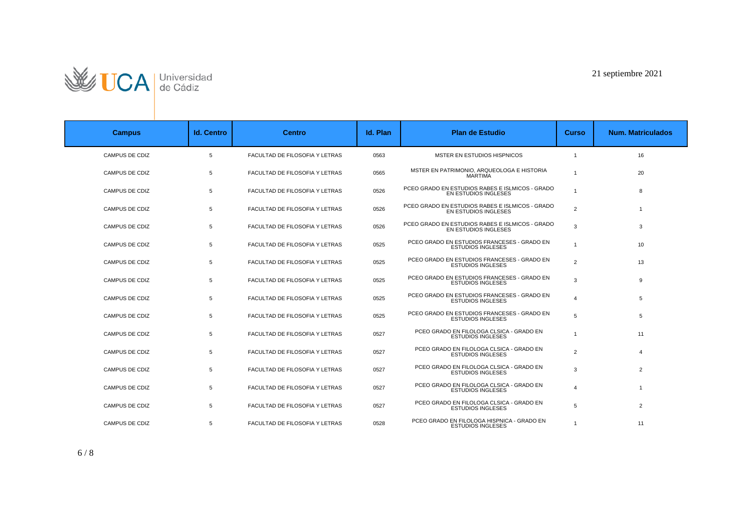



| <b>Campus</b>         | <b>Id. Centro</b> | <b>Centro</b>                  | Id. Plan | <b>Plan de Estudio</b>                                                         | <b>Curso</b>   | <b>Num. Matriculados</b> |
|-----------------------|-------------------|--------------------------------|----------|--------------------------------------------------------------------------------|----------------|--------------------------|
| <b>CAMPUS DE CDIZ</b> | 5                 | FACULTAD DE FILOSOFIA Y LETRAS | 0563     | MSTER EN ESTUDIOS HISPNICOS                                                    | $\overline{1}$ | 16                       |
| CAMPUS DE CDIZ        | 5                 | FACULTAD DE FILOSOFIA Y LETRAS | 0565     | MSTER EN PATRIMONIO, ARQUEOLOGA E HISTORIA<br><b>MARTIMA</b>                   | $\overline{1}$ | 20                       |
| <b>CAMPUS DE CDIZ</b> | 5                 | FACULTAD DE FILOSOFIA Y LETRAS | 0526     | PCEO GRADO EN ESTUDIOS RABES E ISLMICOS - GRADO<br><b>EN ESTUDIOS INGLESES</b> | $\overline{1}$ | 8                        |
| <b>CAMPUS DE CDIZ</b> | 5                 | FACULTAD DE FILOSOFIA Y LETRAS | 0526     | PCEO GRADO EN ESTUDIOS RABES E ISLMICOS - GRADO<br>EN ESTUDIOS INGLESES        | 2              | $\mathbf{1}$             |
| CAMPUS DE CDIZ        | 5                 | FACULTAD DE FILOSOFIA Y LETRAS | 0526     | PCEO GRADO EN ESTUDIOS RABES E ISLMICOS - GRADO<br><b>EN ESTUDIOS INGLESES</b> | 3              | 3                        |
| CAMPUS DE CDIZ        | 5                 | FACULTAD DE FILOSOFIA Y LETRAS | 0525     | PCEO GRADO EN ESTUDIOS FRANCESES - GRADO EN<br><b>ESTUDIOS INGLESES</b>        | $\overline{1}$ | 10                       |
| CAMPUS DE CDIZ        | 5                 | FACULTAD DE FILOSOFIA Y LETRAS | 0525     | PCEO GRADO EN ESTUDIOS FRANCESES - GRADO EN<br><b>ESTUDIOS INGLESES</b>        | 2              | 13                       |
| <b>CAMPUS DE CDIZ</b> | 5                 | FACULTAD DE FILOSOFIA Y LETRAS | 0525     | PCEO GRADO EN ESTUDIOS FRANCESES - GRADO EN<br><b>ESTUDIOS INGLESES</b>        | 3              | 9                        |
| CAMPUS DE CDIZ        | 5                 | FACULTAD DE FILOSOFIA Y LETRAS | 0525     | PCEO GRADO EN ESTUDIOS FRANCESES - GRADO EN<br><b>ESTUDIOS INGLESES</b>        | $\overline{4}$ | 5                        |
| <b>CAMPUS DE CDIZ</b> | 5                 | FACULTAD DE FILOSOFIA Y LETRAS | 0525     | PCEO GRADO EN ESTUDIOS FRANCESES - GRADO EN<br><b>ESTUDIOS INGLESES</b>        | 5              | 5                        |
| <b>CAMPUS DE CDIZ</b> | 5                 | FACULTAD DE FILOSOFIA Y LETRAS | 0527     | PCEO GRADO EN FILOLOGA CLSICA - GRADO EN<br><b>ESTUDIOS INGLESES</b>           | $\overline{1}$ | 11                       |
| <b>CAMPUS DE CDIZ</b> | 5                 | FACULTAD DE FILOSOFIA Y LETRAS | 0527     | PCEO GRADO EN FILOLOGA CLSICA - GRADO EN<br><b>ESTUDIOS INGLESES</b>           | 2              | $\overline{4}$           |
| <b>CAMPUS DE CDIZ</b> | 5                 | FACULTAD DE FILOSOFIA Y LETRAS | 0527     | PCEO GRADO EN FILOLOGA CLSICA - GRADO EN<br><b>ESTUDIOS INGLESES</b>           | 3              | $\overline{2}$           |
| <b>CAMPUS DE CDIZ</b> | 5                 | FACULTAD DE FILOSOFIA Y LETRAS | 0527     | PCEO GRADO EN FILOLOGA CLSICA - GRADO EN<br><b>ESTUDIOS INGLESES</b>           | $\overline{4}$ | $\mathbf{1}$             |
| <b>CAMPUS DE CDIZ</b> | 5                 | FACULTAD DE FILOSOFIA Y LETRAS | 0527     | PCEO GRADO EN FILOLOGA CLSICA - GRADO EN<br><b>ESTUDIOS INGLESES</b>           | 5              | $\overline{2}$           |
| <b>CAMPUS DE CDIZ</b> | 5                 | FACULTAD DE FILOSOFIA Y LETRAS | 0528     | PCEO GRADO EN FILOLOGA HISPNICA - GRADO EN<br><b>ESTUDIOS INGLESES</b>         | $\mathbf 1$    | 11                       |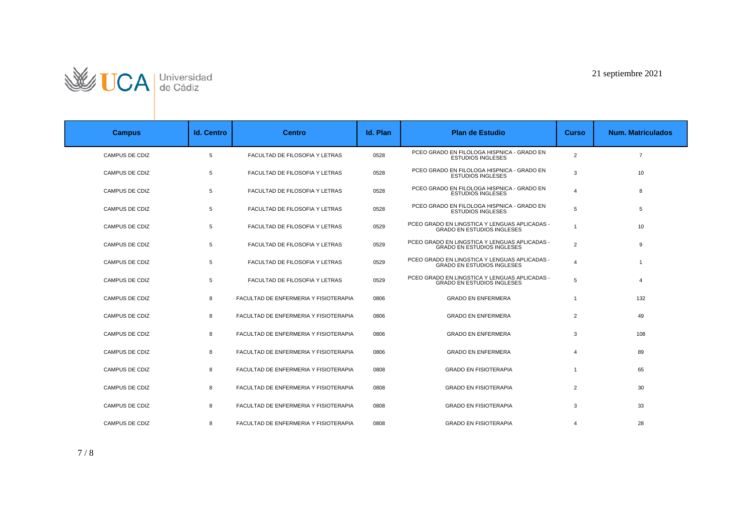



| <b>Campus</b>         | <b>Id. Centro</b> | <b>Centro</b>                         | Id. Plan | <b>Plan de Estudio</b>                                                             | <b>Curso</b>   | <b>Num. Matriculados</b> |
|-----------------------|-------------------|---------------------------------------|----------|------------------------------------------------------------------------------------|----------------|--------------------------|
| <b>CAMPUS DE CDIZ</b> | 5                 | FACULTAD DE FILOSOFIA Y LETRAS        | 0528     | PCEO GRADO EN FILOLOGA HISPNICA - GRADO EN<br><b>ESTUDIOS INGLESES</b>             | $\overline{2}$ | $\overline{7}$           |
| <b>CAMPUS DE CDIZ</b> | 5                 | FACULTAD DE FILOSOFIA Y LETRAS        | 0528     | PCEO GRADO EN FILOLOGA HISPNICA - GRADO EN<br><b>ESTUDIOS INGLESES</b>             | 3              | 10                       |
| <b>CAMPUS DE CDIZ</b> | 5                 | FACULTAD DE FILOSOFIA Y LETRAS        | 0528     | PCEO GRADO EN FILOLOGA HISPNICA - GRADO EN<br><b>ESTUDIOS INGLESES</b>             | $\overline{4}$ | 8                        |
| <b>CAMPUS DE CDIZ</b> | 5                 | FACULTAD DE FILOSOFIA Y LETRAS        | 0528     | PCEO GRADO EN FILOLOGA HISPNICA - GRADO EN<br><b>ESTUDIOS INGLESES</b>             | 5              | $5\phantom{.0}$          |
| <b>CAMPUS DE CDIZ</b> | 5                 | FACULTAD DE FILOSOFIA Y LETRAS        | 0529     | PCEO GRADO EN LINGSTICA Y LENGUAS APLICADAS -<br><b>GRADO EN ESTUDIOS INGLESES</b> | 1              | 10                       |
| CAMPUS DE CDIZ        | 5                 | FACULTAD DE FILOSOFIA Y LETRAS        | 0529     | PCEO GRADO EN LINGSTICA Y LENGUAS APLICADAS -<br><b>GRADO EN ESTUDIOS INGLESES</b> | $\overline{2}$ | 9                        |
| CAMPUS DE CDIZ        | 5                 | FACULTAD DE FILOSOFIA Y LETRAS        | 0529     | PCEO GRADO EN LINGSTICA Y LENGUAS APLICADAS -<br><b>GRADO EN ESTUDIOS INGLESES</b> | $\overline{4}$ | $\mathbf{1}$             |
| <b>CAMPUS DE CDIZ</b> | 5                 | FACULTAD DE FILOSOFIA Y LETRAS        | 0529     | PCEO GRADO EN LINGSTICA Y LENGUAS APLICADAS -<br><b>GRADO EN ESTUDIOS INGLESES</b> | 5              | $\overline{4}$           |
| <b>CAMPUS DE CDIZ</b> | 8                 | FACULTAD DE ENFERMERIA Y FISIOTERAPIA | 0806     | <b>GRADO EN ENFERMERA</b>                                                          | $\overline{1}$ | 132                      |
| <b>CAMPUS DE CDIZ</b> | 8                 | FACULTAD DE ENFERMERIA Y FISIOTERAPIA | 0806     | <b>GRADO EN ENFERMERA</b>                                                          | $\overline{2}$ | 49                       |
| CAMPUS DE CDIZ        | 8                 | FACULTAD DE ENFERMERIA Y FISIOTERAPIA | 0806     | <b>GRADO EN ENFERMERA</b>                                                          | 3              | 108                      |
| CAMPUS DE CDIZ        | 8                 | FACULTAD DE ENFERMERIA Y FISIOTERAPIA | 0806     | <b>GRADO EN ENFERMERA</b>                                                          | 4              | 89                       |
| CAMPUS DE CDIZ        | 8                 | FACULTAD DE ENFERMERIA Y FISIOTERAPIA | 0808     | <b>GRADO EN FISIOTERAPIA</b>                                                       | $\overline{1}$ | 65                       |
| <b>CAMPUS DE CDIZ</b> | 8                 | FACULTAD DE ENFERMERIA Y FISIOTERAPIA | 0808     | <b>GRADO EN FISIOTERAPIA</b>                                                       | $\overline{2}$ | 30                       |
| <b>CAMPUS DE CDIZ</b> | 8                 | FACULTAD DE ENFERMERIA Y FISIOTERAPIA | 0808     | <b>GRADO EN FISIOTERAPIA</b>                                                       | 3              | 33                       |
| <b>CAMPUS DE CDIZ</b> | 8                 | FACULTAD DE ENFERMERIA Y FISIOTERAPIA | 0808     | <b>GRADO EN FISIOTERAPIA</b>                                                       | 4              | 28                       |